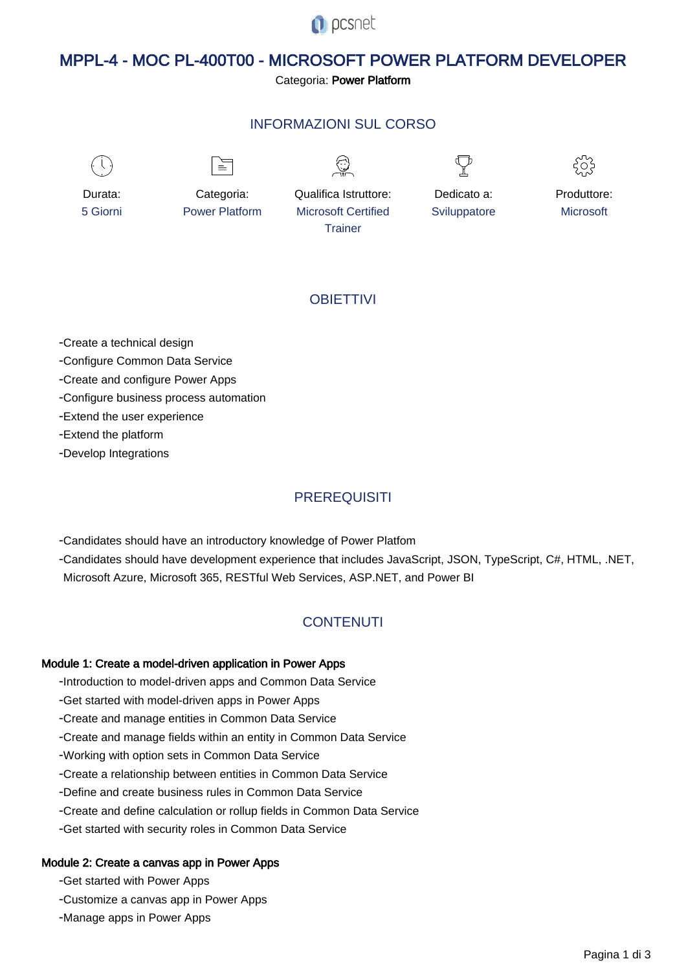**O** pcsnet

# MPPL-4 - MOC PL-400T00 - MICROSOFT POWER PLATFORM DEVELOPER

Categoria: Power Platform

### INFORMAZIONI SUL CORSO



 $\equiv$ 





Durata: 5 Giorni

Categoria: Power Platform Qualifica Istruttore: Microsoft Certified **Trainer** 

Dedicato a: **Sviluppatore** 



### **OBIFTTIVI**

- Create a technical design

- Configure Common Data Service

- Create and configure Power Apps

- Configure business process automation

- Extend the user experience

- Extend the platform

- Develop Integrations

## **PREREQUISITI**

- Candidates should have an introductory knowledge of Power Platfom

- Candidates should have development experience that includes JavaScript, JSON, TypeScript, C#, HTML, .NET, Microsoft Azure, Microsoft 365, RESTful Web Services, ASP.NET, and Power BI

# **CONTENUTI**

### Module 1: Create a model-driven application in Power Apps

- Introduction to model-driven apps and Common Data Service

- Get started with model-driven apps in Power Apps

- Create and manage entities in Common Data Service

- Create and manage fields within an entity in Common Data Service

- Working with option sets in Common Data Service

- Create a relationship between entities in Common Data Service

- Define and create business rules in Common Data Service

- Create and define calculation or rollup fields in Common Data Service

- Get started with security roles in Common Data Service

### Module 2: Create a canvas app in Power Apps

- Get started with Power Apps

- Customize a canvas app in Power Apps

- Manage apps in Power Apps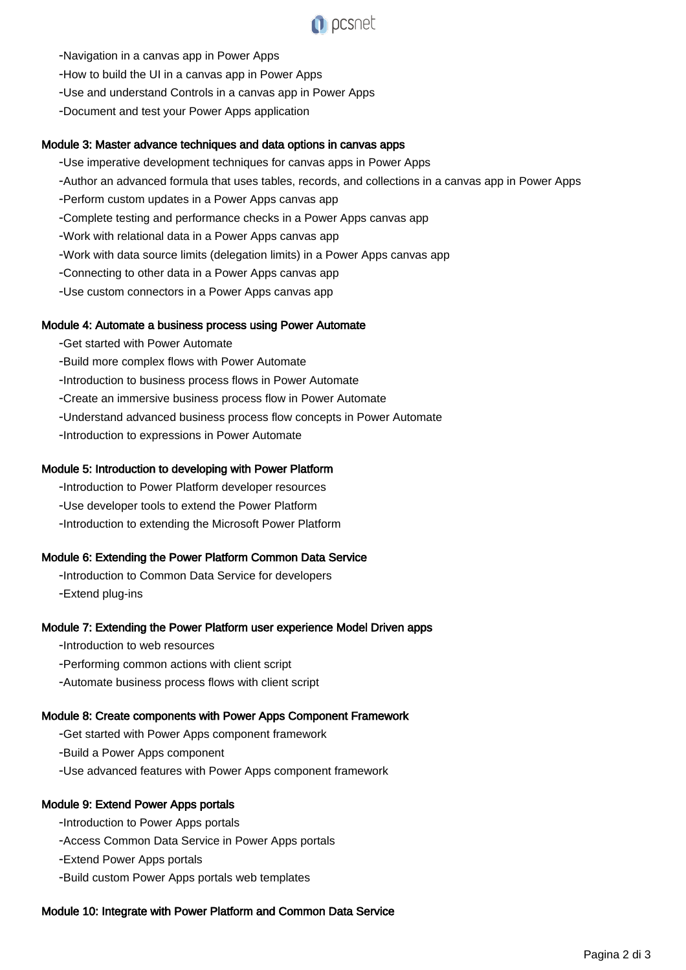

- Navigation in a canvas app in Power Apps
- How to build the UI in a canvas app in Power Apps
- Use and understand Controls in a canvas app in Power Apps
- Document and test your Power Apps application

#### Module 3: Master advance techniques and data options in canvas apps

- Use imperative development techniques for canvas apps in Power Apps
- Author an advanced formula that uses tables, records, and collections in a canvas app in Power Apps
- Perform custom updates in a Power Apps canvas app
- Complete testing and performance checks in a Power Apps canvas app
- Work with relational data in a Power Apps canvas app
- Work with data source limits (delegation limits) in a Power Apps canvas app
- Connecting to other data in a Power Apps canvas app
- Use custom connectors in a Power Apps canvas app

#### Module 4: Automate a business process using Power Automate

- Get started with Power Automate
- Build more complex flows with Power Automate
- Introduction to business process flows in Power Automate
- Create an immersive business process flow in Power Automate
- Understand advanced business process flow concepts in Power Automate
- Introduction to expressions in Power Automate

#### Module 5: Introduction to developing with Power Platform

- Introduction to Power Platform developer resources
- Use developer tools to extend the Power Platform
- Introduction to extending the Microsoft Power Platform

#### Module 6: Extending the Power Platform Common Data Service

- Introduction to Common Data Service for developers - Extend plug-ins

#### Module 7: Extending the Power Platform user experience Model Driven apps

- Introduction to web resources
- Performing common actions with client script
- Automate business process flows with client script

#### Module 8: Create components with Power Apps Component Framework

- Get started with Power Apps component framework
- Build a Power Apps component
- Use advanced features with Power Apps component framework

#### Module 9: Extend Power Apps portals

- Introduction to Power Apps portals
- Access Common Data Service in Power Apps portals
- Extend Power Apps portals
- Build custom Power Apps portals web templates

#### Module 10: Integrate with Power Platform and Common Data Service